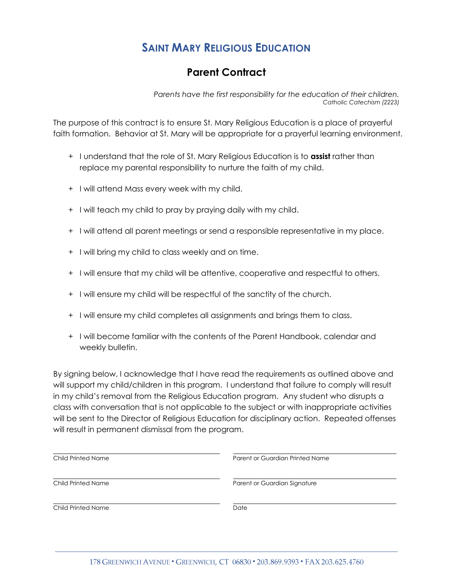## **SAINT MARY RELIGIOUS EDUCATION**

## **Parent Contract**

*Parents have the first responsibility for the education of their children. Catholic Catechism (2223)*

The purpose of this contract is to ensure St. Mary Religious Education is a place of prayerful faith formation. Behavior at St. Mary will be appropriate for a prayerful learning environment.

- + I understand that the role of St. Mary Religious Education is to **assist** rather than replace my parental responsibility to nurture the faith of my child.
- + I will attend Mass every week with my child.
- + I will teach my child to pray by praying daily with my child.
- + I will attend all parent meetings or send a responsible representative in my place.
- + I will bring my child to class weekly and on time.
- + I will ensure that my child will be attentive, cooperative and respectful to others.
- + I will ensure my child will be respectful of the sanctity of the church.
- + I will ensure my child completes all assignments and brings them to class.
- + I will become familiar with the contents of the Parent Handbook, calendar and weekly bulletin.

By signing below, I acknowledge that I have read the requirements as outlined above and will support my child/children in this program. I understand that failure to comply will result in my child's removal from the Religious Education program. Any student who disrupts a class with conversation that is not applicable to the subject or with inappropriate activities will be sent to the Director of Religious Education for disciplinary action. Repeated offenses will result in permanent dismissal from the program.

| Child Printed Name | Parent or Guardian Printed Name |
|--------------------|---------------------------------|
| Child Printed Name | Parent or Guardian Signature    |
| Child Printed Name | Date                            |